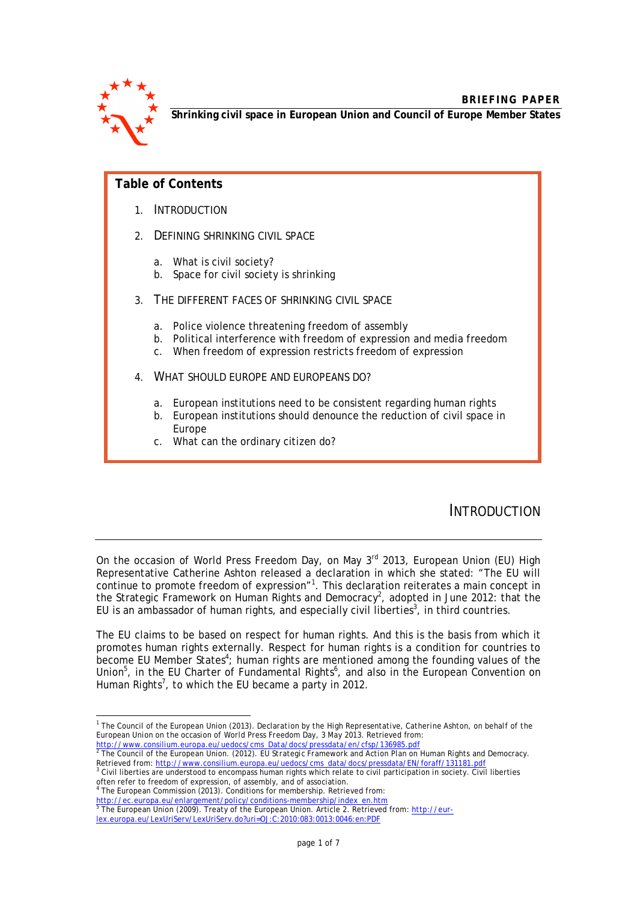

**Shrinking civil space in European Union and Council of Europe Member States**

## **Table of Contents**

- 1. INTRODUCTION
- 2. DEFINING SHRINKING CIVIL SPACE
	- a. What is civil society?
	- b. Space for civil society is shrinking
- 3. THE DIFFERENT FACES OF SHRINKING CIVIL SPACE
	- a. Police violence threatening freedom of assembly
	- b. Political interference with freedom of expression and media freedom
	- c. When freedom of expression restricts freedom of expression
- 4. WHAT SHOULD EUROPE AND EUROPEANS DO?
	- a. European institutions need to be consistent regarding human rights
	- b. European institutions should denounce the reduction of civil space in Europe
	- c. What can the ordinary citizen do?

# INTRODUCTION

On the occasion of World Press Freedom Day, on May 3<sup>rd</sup> 2013, European Union (EU) High Representative Catherine Ashton released a declaration in which she stated: "The EU will continue to promote freedom of expression"<sup>1</sup>. This declaration reiterates a main concept in the Strategic Framework on Human Rights and Democracy<sup>2</sup>, adopted in June 2012: that the EU is an ambassador of human rights, and especially civil liberties<sup>3</sup>, in third countries.

The EU claims to be based on respect for human rights. And this is the basis from which it promotes human rights externally. Respect for human rights is a condition for countries to become EU Member States<sup>4</sup>; human rights are mentioned among the founding values of the Union<sup>5</sup>, in the EU Charter of Fundamental Rights<sup>6</sup>, and also in the European Convention on Human Rights<sup>7</sup>, to which the EU became a party in 2012.

 1 The Council of the European Union (2013). *Declaration by the High Representative, Catherine Ashton, on behalf of the European Union on the occasion of World Press Freedom Day, 3 May 2013*. Retrieved from:

http://www.consilium.europa.eu/uedocs/cms\_Data/docs/pressdata/en/cfsp/136985.pdf 2 The Council of the European Union. (2012). *EU Strategic Framework and Action Plan on Human Rights and Democracy*. Retrieved from: <u>http://www.consilium.europa.eu/uedocs/cms\_data/docs/pressdata/EN/foraff/131181.pdf</u><br><sup>3</sup> Civil liberties are understood to encompass human rights which relate to civil participation in society. Civil libert

often refer to freedom of expression, of assembly, and of association.<br><sup>4</sup> The European Commission (2013). Conditions for membership. Retrieved from:

<sup>&</sup>lt;u>http://ec.europa.eu/enlargement/policy/conditions-membership/index\_en.htm</u><br><sup>5</sup> The European Union (2009). Treaty of the European Union. Article 2. Retrieved from: <u>http://eur-</u> lex.europa.eu/LexUriServ/LexUriServ.do?uri=OJ:C:2010:083:0013:0046:en:PDF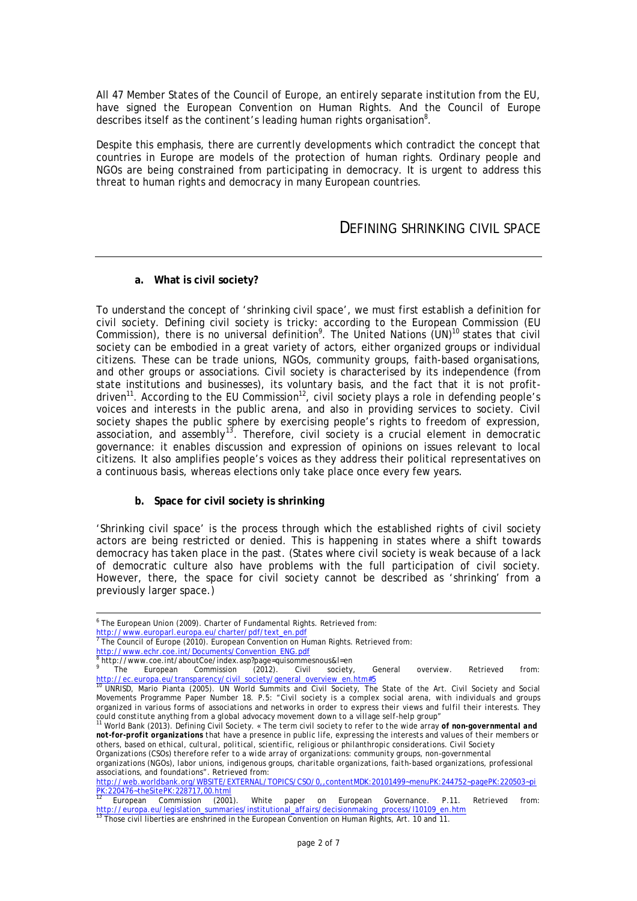All 47 Member States of the Council of Europe, an entirely separate institution from the EU, have signed the European Convention on Human Rights. And the Council of Europe describes itself as the continent's leading human rights organisation $8$ .

Despite this emphasis, there are currently developments which contradict the concept that countries in Europe are models of the protection of human rights. Ordinary people and NGOs are being constrained from participating in democracy. It is urgent to address this threat to human rights and democracy in many European countries.

### DEFINING SHRINKING CIVIL SPACE

#### **a. What is civil society?**

To understand the concept of 'shrinking civil space', we must first establish a definition for civil society. Defining civil society is tricky: according to the European Commission (EU Commission), there is no universal definition<sup>9</sup>. The United Nations  $(UN)^{10}$  states that civil society can be embodied in a great variety of actors, either organized groups or individual citizens. These can be trade unions, NGOs, community groups, faith-based organisations, and other groups or associations. Civil society is characterised by its independence (from state institutions and businesses), its voluntary basis, and the fact that it is not profitdriven<sup>11</sup>. According to the EU Commission<sup>12</sup>, civil society plays a role in defending people's voices and interests in the public arena, and also in providing services to society. Civil society shapes the public sphere by exercising people's rights to freedom of expression, association, and assembly<sup>13</sup>. Therefore, civil society is a crucial element in democratic governance: it enables discussion and expression of opinions on issues relevant to local citizens. It also amplifies people's voices as they address their political representatives on a continuous basis, whereas elections only take place once every few years.

#### **b. Space for civil society is shrinking**

'Shrinking civil space' is the process through which the established rights of civil society actors are being restricted or denied. This is happening in states where a shift towards democracy has taken place in the past. (States where civil society is weak because of a lack of democratic culture also have problems with the full participation of civil society. However, there, the space for civil society cannot be described as 'shrinking' from a previously larger space.)

<sup>&</sup>lt;sub>.</sub><br><sup>6</sup> The European Union (2009). Charter of Fundamental Rights. Retrieved from:

<sup>&</sup>lt;u>http://www.europarl.europa.eu/charter/pdf/text\_en.pdf</u><br><sup>7</sup> The Council of Europe (2010). European Convention on Human Rights. Retrieved from: http://www.echr.coe.int/Documents/Convention\_ENG.pdf<br><sup>8</sup> http://www.coe.int/phoutCoe/index.asp?page\_quisemme

http://www.coe.int/aboutCoe/index.asp?page=quisommesnous&l=en

<sup>9</sup> The European Commission (2012). Civil society, General overview. Retrieved from: http://ec.europa.eu/transparency/civil\_society/general\_overview\_en.htm#5

<sup>10</sup> UNRISD, Mario Pianta (2005). UN World Summits and Civil Society, The State of the Art. Civil Society and Social Movements Programme Paper Number 18. P.5: "*Civil society is a complex social arena, with individuals and groups organized in various forms of associations and networks in order to express their views and fulfil their interests. They could constitute anything from a global advocacy movement down to a village self-help group*"

<sup>11</sup> World Bank (2013). Defining Civil Society. *« The term civil society to refer to the wide array of non-governmental and not-for-profit organizations that have a presence in public life, expressing the interests and values of their members or others, based on ethical, cultural, political, scientific, religious or philanthropic considerations. Civil Society* 

*Organizations (CSOs) therefore refer to a wide array of organizations: community groups, non-governmental* 

*organizations (NGOs), labor unions, indigenous groups, charitable organizations, faith-based organizations, professional associations, and foundations*". Retrieved from:

http://web.worldbank.org/WBSITE/EXTERNAL/TOPICS/CSO/0,,contentMDK:20101499~menuPK:244752~pagePK:220503~pi <u>PK:220476~theSitePK:228717,00.html</u>

European Commission (2001). White paper on European Governance. P.11. Retrieved from: <u>http://europa.eu/legislation\_summaries/institutional\_affairs/decisionmaking\_process/l10109\_en.htm</u><br><sup>13</sup> Those civil liberties are enshrined in the European Convention on Human Rights, Art. 10 and 11.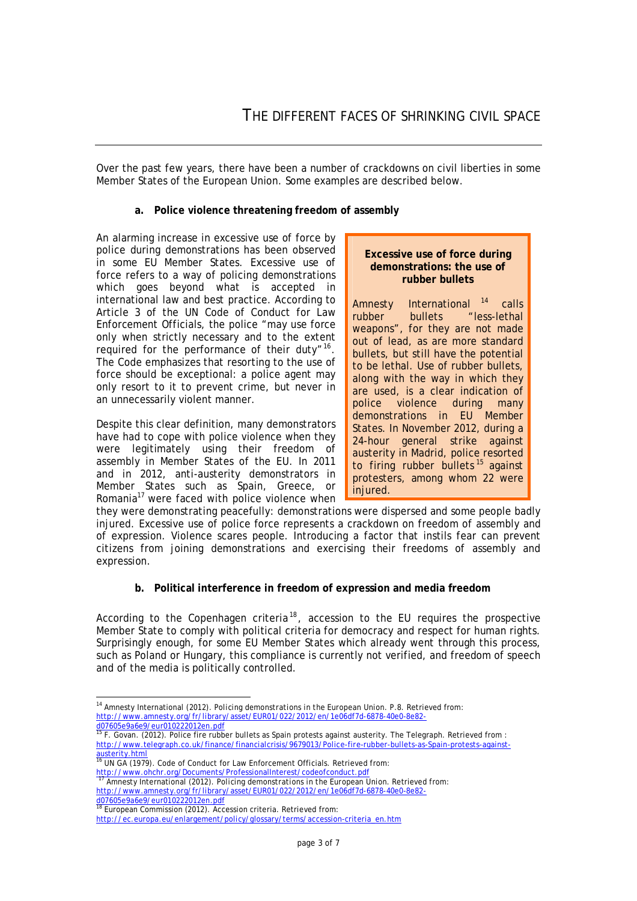Over the past few years, there have been a number of crackdowns on civil liberties in some Member States of the European Union. Some examples are described below.

#### **a. Police violence threatening freedom of assembly**

An alarming increase in excessive use of force by police during demonstrations has been observed in some EU Member States. Excessive use of force refers to a way of policing demonstrations which goes beyond what is accepted in international law and best practice. According to Article 3 of the UN Code of Conduct for Law Enforcement Officials, the police "may use force only when strictly necessary and to the extent required for the performance of their duty"<sup>16</sup>. The Code emphasizes that resorting to the use of force should be exceptional: a police agent may only resort to it to prevent crime, but never in an unnecessarily violent manner.

Despite this clear definition, many demonstrators have had to cope with police violence when they were legitimately using their freedom of assembly in Member States of the EU. In 2011 and in 2012, anti-austerity demonstrators in Member States such as Spain, Greece, or Romania<sup>17</sup> were faced with police violence when

#### **Excessive use of force during demonstrations: the use of rubber bullets**

Amnesty International<sup>14</sup> calls rubber bullets "less-lethal weapons", for they are not made out of lead, as are more standard bullets, but still have the potential to be lethal. Use of rubber bullets, along with the way in which they are used, is a clear indication of<br>police violence during many violence during demonstrations in EU Member States. In November 2012, during a 24-hour general strike against austerity in Madrid, police resorted to firing rubber bullets  $15$  against protesters, among whom 22 were injured.

they were demonstrating peacefully: demonstrations were dispersed and some people badly injured. Excessive use of police force represents a crackdown on freedom of assembly and of expression. Violence scares people. Introducing a factor that instils fear can prevent citizens from joining demonstrations and exercising their freedoms of assembly and expression.

#### **b. Political interference in freedom of expression and media freedom**

According to the Copenhagen criteria<sup>18</sup>, accession to the EU requires the prospective Member State to comply with political criteria for democracy and respect for human rights. Surprisingly enough, for some EU Member States which already went through this process, such as Poland or Hungary, this compliance is currently not verified, and freedom of speech and of the media is politically controlled.

d07605e9a6e9/eur010222012en.pdf

 $\overline{\phantom{a}}$ <sup>14</sup> Amnesty International (2012). *Policing demonstrations in the European Union*. P.8. Retrieved from: http://www.amnesty.org/fr/library/asset/EUR01/022/2012/en/1e06df7d-6878-40e0-8e82-

<sup>&</sup>lt;mark>d07605e9a6e9/eur010222012en.pdf</mark><br><sup>15</sup> F. Govan. (2012). Police fire rubber bullets as Spain protests against austerity. The Telegraph. Retrieved from : http://www.telegraph.co.uk/finance/financialcrisis/9679013/Police-fire-rubber-bullets-as-Spain-protests-againstausterity.html

UN GA (1979). Code of Conduct for Law Enforcement Officials. Retrieved from: http://www.ohchr.org/Documents/ProfessionalInterest/codeofconduct.pdf<br>http://www.ohchr.org/Documents/ProfessionalInterest/codeofconduct.pdf

<sup>17</sup> Amnesty International (2012). *Policing demonstrations in the European Union*. Retrieved from: http://www.amnesty.org/fr/library/asset/EUR01/022/2012/en/1e06df7d-6878-40e0-8e82-

European Commission (2012). Accession criteria. Retrieved from: http://ec.europa.eu/enlargement/policy/glossary/terms/accession-criteria\_en.htm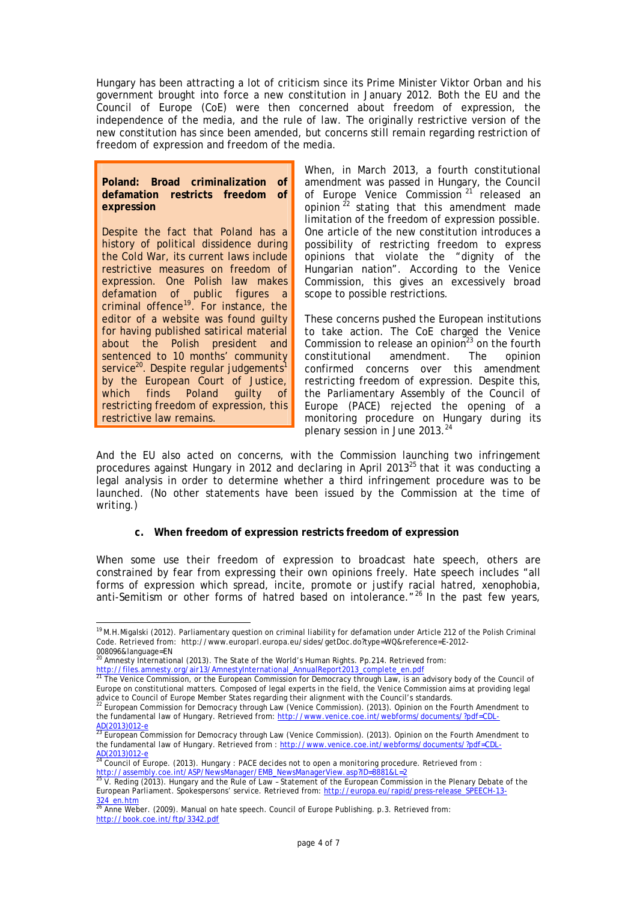Hungary has been attracting a lot of criticism since its Prime Minister Viktor Orban and his government brought into force a new constitution in January 2012. Both the EU and the Council of Europe (CoE) were then concerned about freedom of expression, the independence of the media, and the rule of law. The originally restrictive version of the new constitution has since been amended, but concerns still remain regarding restriction of freedom of expression and freedom of the media.

#### **Poland: Broad criminalization of defamation restricts freedom of expression**

Despite the fact that Poland has a history of political dissidence during the Cold War, its current laws include restrictive measures on freedom of expression. One Polish law makes defamation of public figures a criminal offence<sup>19</sup>. For instance, the editor of a website was found guilty for having published satirical material about the Polish president and sentenced to 10 months' community service<sup>20</sup>. Despite regular judgements<sup>1</sup> by the European Court of Justice, which finds Poland guilty of restricting freedom of expression, this restrictive law remains.

When, in March 2013, a fourth constitutional amendment was passed in Hungary, the Council of Europe Venice Commission<sup>21</sup> released an opinion  $2^2$  stating that this amendment made limitation of the freedom of expression possible. One article of the new constitution introduces a possibility of restricting freedom to express opinions that violate the "dignity of the Hungarian nation". According to the Venice Commission, this gives an excessively broad scope to possible restrictions.

These concerns pushed the European institutions to take action. The CoE charged the Venice Commission to release an opinion<sup>23</sup> on the fourth constitutional amendment. The opinion constitutional confirmed concerns over this amendment restricting freedom of expression. Despite this, the Parliamentary Assembly of the Council of Europe (PACE) rejected the opening of a monitoring procedure on Hungary during its plenary session in June 2013.<sup>24</sup>

And the EU also acted on concerns, with the Commission launching two infringement procedures against Hungary in 2012 and declaring in April 2013 $^{25}$  that it was conducting a legal analysis in order to determine whether a third infringement procedure was to be launched. (No other statements have been issued by the Commission at the time of writing.)

#### **c. When freedom of expression restricts freedom of expression**

When some use their freedom of expression to broadcast hate speech, others are constrained by fear from expressing their own opinions freely. Hate speech includes "all forms of expression which spread, incite, promote or justify racial hatred, xenophobia, anti-Semitism or other forms of hatred based on intolerance."<sup>26</sup> In the past few years,

 $\overline{\phantom{a}}$ <sup>19</sup> M.H.Migalski (2012). Parliamentary question on criminal liability for defamation under Article 212 of the Polish Criminal Code. Retrieved from: http://www.europarl.europa.eu/sides/getDoc.do?type=WQ&reference=E-2012-

<sup>008096&</sup>amp;language=EN <sup>20</sup> Amnesty International (2013). The State of the World's Human Rights. Pp.214. Retrieved from: http://files.amnesty.org/air13/Amnesty.org/air13/Amnesty.org/airner.html<br>21 The Venice Compieting of the European Compiled AnnualReport2013\_complete\_en.pdf

<sup>21</sup> The Venice Commission, or the European Commission for Democracy through Law, is an advisory body of the Council of Europe on constitutional matters. Composed of legal experts in the field, the Venice Commission aims at providing legal

advice to Council of Europe Member States regarding their alignment with the Council's standards.<br><sup>22</sup> European Commission for Democracy through Law (Venice Commission). (2013). Opinion on the Fourth Amendment to the fundamental law of Hungary. Retrieved from: http://www.venice.coe.int/webforms/documents/?pdf=CDL- $\frac{\text{AD}(2013)012-}{23}$  European

<sup>23</sup> European Commission for Democracy through Law (Venice Commission). (2013). Opinion on the Fourth Amendment to the fundamental law of Hungary. Retrieved from : http://www.venice.coe.int/webforms/documents/?pdf=CDL- $\frac{\text{AD}(2013)012-e}{24}$ 

<sup>&</sup>lt;sup>24</sup> Council of Europe. (2013). Hungary : PACE decides not to open a monitoring procedure. Retrieved from :

<sup>&</sup>lt;u>http://assembly.coe.int/ASP/NewsManager/EMB\_NewsManagerView.asp?ID=8881&L=2</u><br><sup>25</sup> V. Reding (2013). Hungary and the Rule of Law - Statement of the European Commission in the Plenary Debate of the European Parliament. Spokespersons' service. Retrieved from: http://europa.eu/rapid/press-release\_SPEECH-13- 324\_en.htm <sup>26</sup> Anne Weber. (2009). *Manual on hate speech*. Council of Europe Publishing. p.3. Retrieved from:

http://book.coe.int/ftp/3342.pdf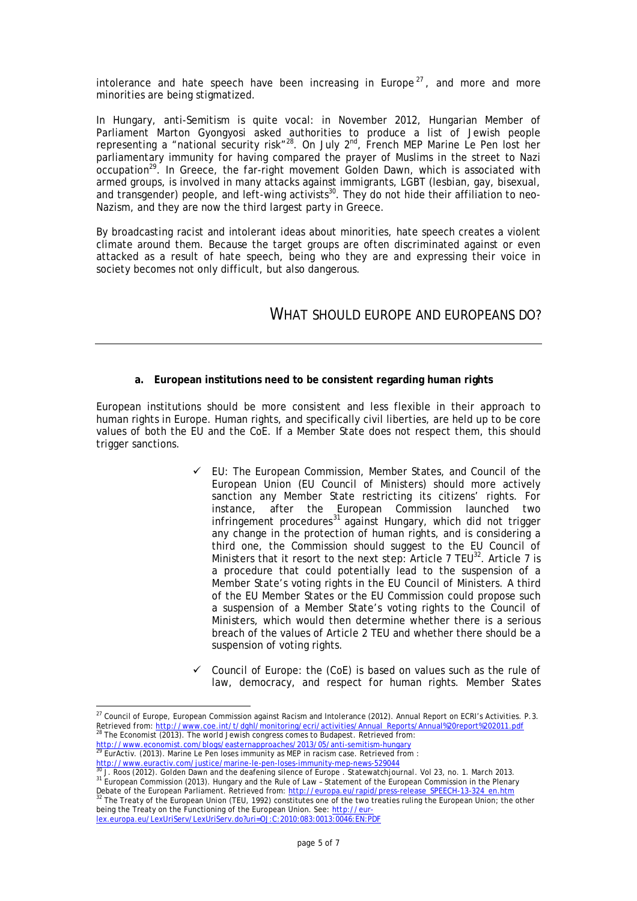intolerance and hate speech have been increasing in Europe<sup>27</sup>, and more and more minorities are being stigmatized.

In Hungary, anti-Semitism is quite vocal: in November 2012, Hungarian Member of Parliament Marton Gyongyosi asked authorities to produce a list of Jewish people representing a "national security risk"<sup>28</sup>. On July 2<sup>nd</sup>, French MEP Marine Le Pen lost her parliamentary immunity for having compared the prayer of Muslims in the street to Nazi  $occupation<sup>29</sup>$ . In Greece, the far-right movement Golden Dawn, which is associated with armed groups, is involved in many attacks against immigrants, LGBT (lesbian, gay, bisexual, and transgender) people, and left-wing activists<sup>30</sup>. They do not hide their affiliation to neo-Nazism, and they are now the third largest party in Greece.

By broadcasting racist and intolerant ideas about minorities, hate speech creates a violent climate around them. Because the target groups are often discriminated against or even attacked as a result of hate speech, being who they are and expressing their voice in society becomes not only difficult, but also dangerous.

## WHAT SHOULD EUROPE AND EUROPEANS DO?

#### **a. European institutions need to be consistent regarding human rights**

European institutions should be more consistent and less flexible in their approach to human rights in Europe. Human rights, and specifically civil liberties, are held up to be core values of both the EU and the CoE. If a Member State does not respect them, this should trigger sanctions.

- $\checkmark$  EU: The European Commission, Member States, and Council of the European Union (EU Council of Ministers) should more actively sanction any Member State restricting its citizens' rights. For instance, after the European Commission launched two  $infringement procedures<sup>31</sup> against Hungary, which did not trigger$ any change in the protection of human rights, and is considering a third one, the Commission should suggest to the EU Council of Ministers that it resort to the next step: Article  $7$  TEU<sup>32</sup>. Article  $7$  is a procedure that could potentially lead to the suspension of a Member State's voting rights in the EU Council of Ministers. A third of the EU Member States or the EU Commission could propose such a suspension of a Member State's voting rights to the Council of Ministers, which would then determine whether there is a serious breach of the values of Article 2 TEU and whether there should be a suspension of voting rights.
- Council of Europe: the (CoE) is based on values such as the rule of law, democracy, and respect for human rights. Member States

Debate of the European Parliament. Retrieved from: <u>http://europa.eu/rapid/press-release\_SPEECH-13-324\_en.htm</u><br><sup>32</sup> The Treaty of the European Union (TEU, 1992) constitutes one of the two treaties ruling the European Union being the Treaty on the Functioning of the European Union. See: http://eurlex.europa.eu/LexUriServ/LexUriServ.do?uri=OJ:C:2010:083:0013:0046:EN:PDF

 $\overline{\phantom{a}}$  $^{27}$  Council of Europe, European Commission against Racism and Intolerance (2012). Annual Report on ECRI's Activities. P.3. Retrieved from: http://www.coe.int/t/dghl/monitoring/ecri/activities/Annual\_Reports/Annual%20report%202011.pdf<br><sup>28</sup> The Economist (2013). The world Jourish congress comes to Pudenest. Petrieved from The Economist (2013). The world Jewish congress comes to Budapest. Retrieved from:

http://www.economist.com/blogs/easternapproaches/2013/05/anti-semitism-hungary <sup>29</sup> EurActiv. (2013). Marine Le Pen loses immunity as MEP in racism case. Retrieved from :

http://www.euractiv.com/justice/marine-le-pen-loses-immunity-mep-news-529044 <sup>30</sup> J. Roos (2012). Golden Dawn and the deafening silence of Europe . *Statewatchjournal*. Vol 23, no. 1. March 2013. <sup>31</sup> European Commission (2013). Hungary and the Rule of Law – Statement of the European Commission in the Plenary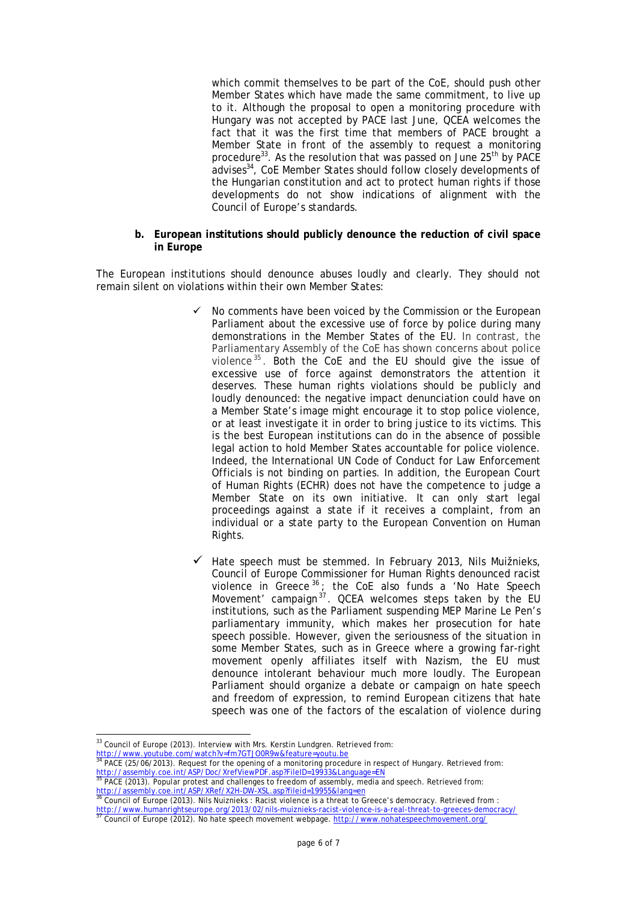which commit themselves to be part of the CoE, should push other Member States which have made the same commitment, to live up to it. Although the proposal to open a monitoring procedure with Hungary was not accepted by PACE last June, QCEA welcomes the fact that it was the first time that members of PACE brought a Member State in front of the assembly to request a monitoring procedure<sup>33</sup>. As the resolution that was passed on June 25<sup>th</sup> by PACE advises<sup>34</sup>, CoE Member States should follow closely developments of the Hungarian constitution and act to protect human rights if those developments do not show indications of alignment with the Council of Europe's standards.

#### **b. European institutions should publicly denounce the reduction of civil space in Europe**

The European institutions should denounce abuses loudly and clearly. They should not remain silent on violations within their own Member States:

- No comments have been voiced by the Commission or the European Parliament about the excessive use of force by police during many demonstrations in the Member States of the EU. In contrast, the Parliamentary Assembly of the CoE has shown concerns about police violence  $35$ . Both the CoE and the EU should give the issue of excessive use of force against demonstrators the attention it deserves. These human rights violations should be publicly and loudly denounced: the negative impact denunciation could have on a Member State's image might encourage it to stop police violence, or at least investigate it in order to bring justice to its victims. This is the best European institutions can do in the absence of possible legal action to hold Member States accountable for police violence. Indeed, the International UN Code of Conduct for Law Enforcement Officials is not binding on parties. In addition, the European Court of Human Rights (ECHR) does not have the competence to judge a Member State on its own initiative. It can only start legal proceedings against a state if it receives a complaint, from an individual or a state party to the European Convention on Human Rights.
- Hate speech must be stemmed. In February 2013, Nils Muižnieks, Council of Europe Commissioner for Human Rights denounced racist violence in Greece<sup>36</sup>; the CoE also funds a 'No Hate Speech Movement' campaign<sup>37</sup>. QCEA welcomes steps taken by the EU institutions, such as the Parliament suspending MEP Marine Le Pen's parliamentary immunity, which makes her prosecution for hate speech possible. However, given the seriousness of the situation in some Member States, such as in Greece where a growing far-right movement openly affiliates itself with Nazism, the EU must denounce intolerant behaviour much more loudly. The European Parliament should organize a debate or campaign on hate speech and freedom of expression, to remind European citizens that hate speech was one of the factors of the escalation of violence during

 $\overline{\phantom{a}}$  $33$  Council of Europe (2013). Interview with Mrs. Kerstin Lundgren. Retrieved from:

http://www.youtube.com/watch?v=fm7GTJO0R9w&feature=youtu.be<br><sup>34</sup> BACE (25 /04 /2013). Besured: facture:

PACE (25/06/2013). Request for the opening of a monitoring procedure in respect of Hungary. Retrieved from:

http://assembly.coe.int/ASP/Doc/XrefViewPDF.asp?FileID=19933&Language=EN <sup>35</sup> PACE (2013). Popular protest and challenges to freedom of assembly, media and speech. Retrieved from:

<sup>&</sup>lt;u>http://assembly.coe.int/ASP/XRef/X2H-DW-XSL.asp?fileid=19955&lang=en</u><br><sup>36</sup> Council of Europe (2013). Nils Nuiznieks : Racist violence is a threat to Greece's democracy. Retrieved from :

<sup>&</sup>lt;u>http://www.humanrightseurope.org/2013/02/nils-muiznieks-racist-violence-is-a-real-threat-to-greeces-democracy/</u><br><sup>37</sup> Council of Europe (2012). No hate speech movement webpage. <u>http://www.nohatespeechmovement.org/</u>